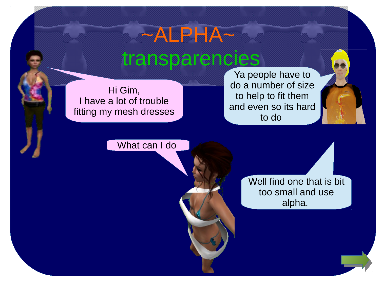Hi Gim, I have a lot of trouble fitting my mesh dresses

Ya people have to do a number of size to help to fit them and even so its hard to do

What can I do

Well find one that is bit too small and use alpha.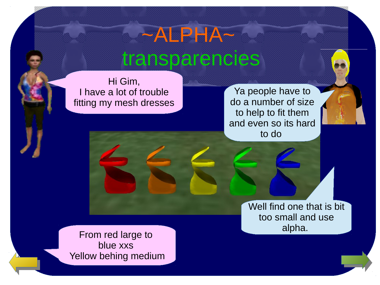Hi Gim, I have a lot of trouble fitting my mesh dresses

Ya people have to do a number of size to help to fit them and even so its hard to do

> Well find one that is bit too small and use

**alpha.**<br>From red large to blue xxs Yellow behing medium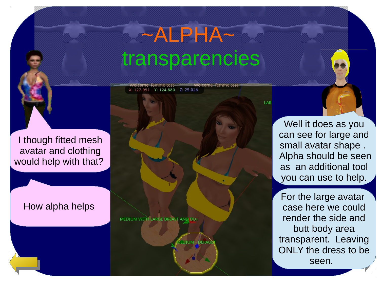Welcome femme test

LAI

I though fitted mesh avatar and clothing would help with that?

#### How alpha helps

MEDIUM WITH LARGE BREAST AND BUT

Welcome femme fest

X: 127.951 Y: 124.880 Z: 25.028

DIUM - DEFAU

Well it does as you can see for large and small avatar shape . Alpha should be seen as an additional tool you can use to help.

For the large avatar case here we could render the side and butt body area transparent. Leaving ONLY the dres[s to be](#page-3-0) seen.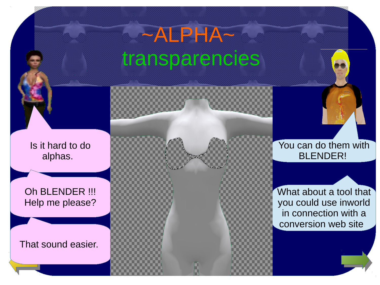<span id="page-3-0"></span>Is it hard to do alphas.

Oh BLENDER !!! Help me please?

That sound easier.

You can do them with BLENDER!

What about a tool that you could use inworld in connection with a conversion web site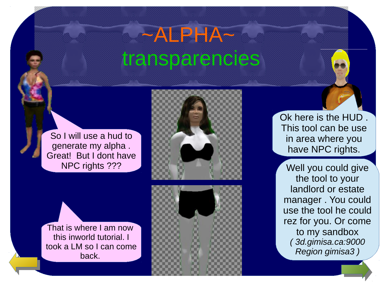So I will use a hud to generate my alpha . Great! But I dont have NPC rights ???



That is where I am now this inworld tutorial. I took a LM so I can come back.



Ok here is the HUD . This tool can be use in area where you have NPC rights.

Well you could give the tool to your landlord or estate manager . You could use the tool he could rez for you. Or come to my sandbox *( 3d.gimisa.ca:9000 Region gimisa3 )*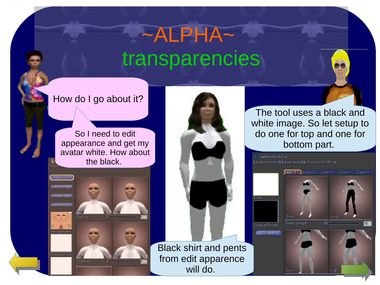#### How do I go about it?

So I need to edit appearance and get my avatar white. How about the black.

Directo de seu **Carolina** 

atou ages has



The tool uses a black and white image. So let setup to do one for top and one for bottom part.

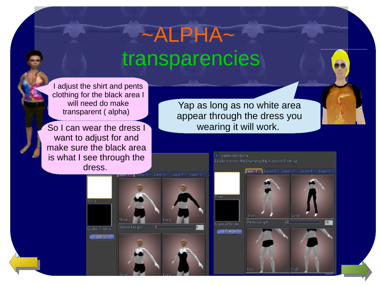I adjust the shirt and pents clothing for the black area I will need do make transparent ( alpha)

want to adjust for and make sure the black area is what I see through the dress.

Yap as long as no white area appear through the dress you So I can wear the dress I wearing it will work.

Low

**Tissu** 



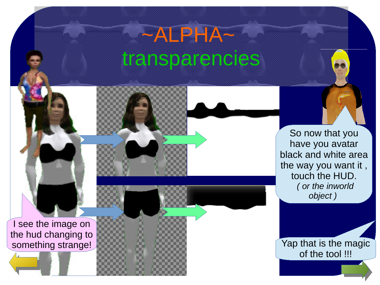I see the image on

the hud changing to

So now that you have you avatar black and white area the way you want it , touch the HUD. *( or the inworld object )* 

something strange! of the tool !!!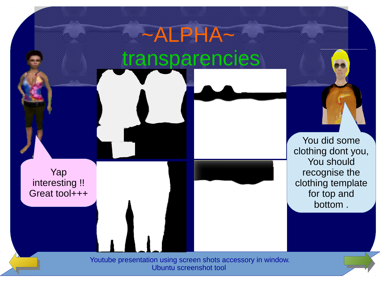### ~ALPHA~ transparencies You did some clothing dont you, You should recognise the clothing template for top and bottom . Yap interesting !! Great tool+++ [Youtube presentation using screen shots accessory in window.](https://www.youtube.com/watch?v=wTCjMxhL1GY) [Ubuntu screenshot tool](https://www.youtube.com/watch?v=ki4SBEkwmM0)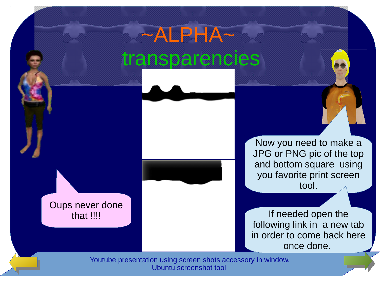Oups never done that !!!!

Now you need to make a JPG or PNG pic of the top and bottom square using you favorite print screen tool.

If needed open the following link in a new tab in order to come back here once done.

[Youtube presentation using screen shots accessory in window.](https://www.youtube.com/watch?v=wTCjMxhL1GY) [Ubuntu screenshot tool](https://www.youtube.com/watch?v=ki4SBEkwmM0)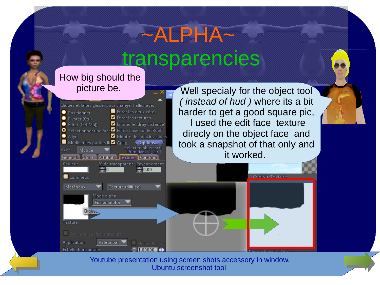#### How big should the picture be.



 $\sum$ 1.00000

Échelle horizontale

Well specialy for the object tool *( instead of hud )* where its a bit harder to get a good square pic, I used the edit face texture direcly on the object face and took a snapshot of that only and it worked.

Choisir Texture

[Youtube presentation using screen shots accessory in window.](https://www.youtube.com/watch?v=wTCjMxhL1GY) [Ubuntu screenshot tool](https://www.youtube.com/watch?v=ki4SBEkwmM0)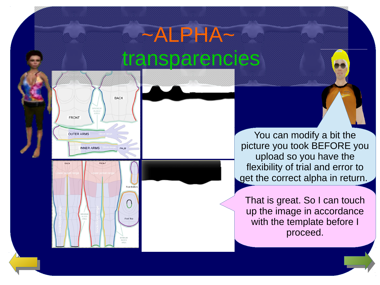

Foot Bott

You can modify a bit the picture you took BEFORE you upload so you have the flexibility of trial and error to get the correct alpha in return.

That is great. So I can touch up the image in accordance with the template before I proceed.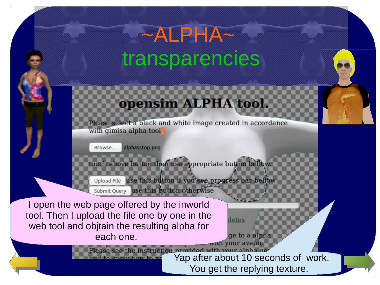### TPI

Please select a black and white image created in accordance with gimisa alpha tool

alphasstop.png

utton then use appropriate button

use this button if you see progress bar be **Upload File** 

use this button otherwise Submit Query

I open the web page offered by the inworld tool. Then I upload the file one by one in the web tool and objtain the resulting alpha for each one. with your avata

> Please see the instruction provided with your alpha get and so the state of work. You get the replying texture.

ge to a alpha

letes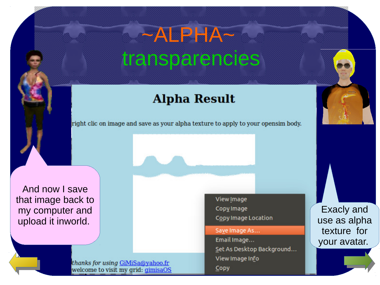### **Alpha Result**

right clic on image and save as your alpha texture to apply to your opensim body.

And now I save that image back to my computer and upload it inworld.

View Image Copy Image **Copy Image Location** 

Save Image As...

Email Image... Set As Desktop Background... View Image Info Copy

Exacly and use as alpha texture for your avatar.

thanks for using GiMiSa@yahoo.fr welcome to visit my grid: gimisaOS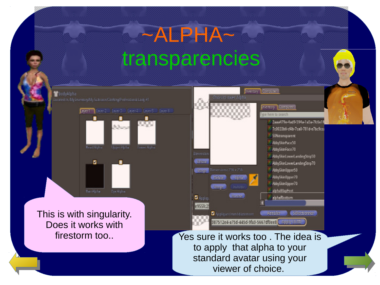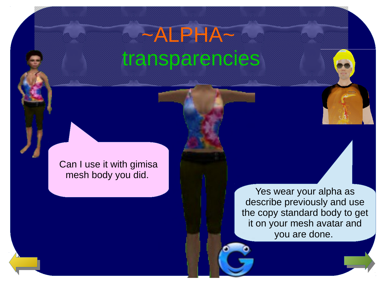# $-ALPHA^$ transparencies

Can I use it with gimisa mesh body you did.

> Yes wear your alpha as describe previously and use the copy standard body to get it on your mesh avatar and you are done.